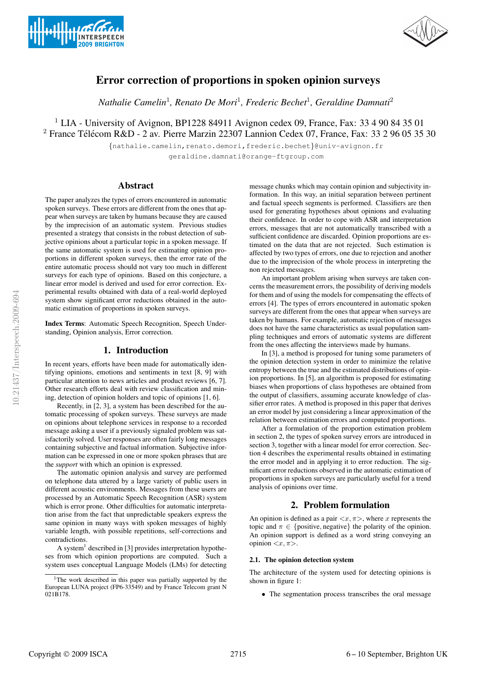



# Error correction of proportions in spoken opinion surveys

*Nathalie Camelin*<sup>1</sup>*, Renato De Mori*<sup>1</sup>*, Frederic Bechet*<sup>1</sup>*, Geraldine Damnati*<sup>2</sup>

<sup>1</sup> LIA - University of Avignon, BP1228 84911 Avignon cedex 09, France, Fax: 33 4 90 84 35 01  $2$  France Télécom R&D - 2 av. Pierre Marzin 22307 Lannion Cedex 07, France, Fax: 33 2 96 05 35 30

> {nathalie.camelin,renato.demori,frederic.bechet}@univ-avignon.fr geraldine.damnati@orange-ftgroup.com

# Abstract

The paper analyzes the types of errors encountered in automatic spoken surveys. These errors are different from the ones that appear when surveys are taken by humans because they are caused by the imprecision of an automatic system. Previous studies presented a strategy that consists in the robust detection of subjective opinions about a particular topic in a spoken message. If the same automatic system is used for estimating opinion proportions in different spoken surveys, then the error rate of the entire automatic process should not vary too much in different surveys for each type of opinions. Based on this conjecture, a linear error model is derived and used for error correction. Experimental results obtained with data of a real-world deployed system show significant error reductions obtained in the automatic estimation of proportions in spoken surveys.

Index Terms: Automatic Speech Recognition, Speech Understanding, Opinion analysis, Error correction.

## 1. Introduction

In recent years, efforts have been made for automatically identifying opinions, emotions and sentiments in text [8, 9] with particular attention to news articles and product reviews [6, 7]. Other research efforts deal with review classification and mining, detection of opinion holders and topic of opinions [1, 6].

Recently, in [2, 3], a system has been described for the automatic processing of spoken surveys. These surveys are made on opinions about telephone services in response to a recorded message asking a user if a previously signaled problem was satisfactorily solved. User responses are often fairly long messages containing subjective and factual information. Subjective information can be expressed in one or more spoken phrases that are the *support* with which an opinion is expressed.

The automatic opinion analysis and survey are performed on telephone data uttered by a large variety of public users in different acoustic environments. Messages from these users are processed by an Automatic Speech Recognition (ASR) system which is error prone. Other difficulties for automatic interpretation arise from the fact that unpredictable speakers express the same opinion in many ways with spoken messages of highly variable length, with possible repetitions, self-corrections and contradictions.

A system<sup>1</sup> described in [3] provides interpretation hypotheses from which opinion proportions are computed. Such a system uses conceptual Language Models (LMs) for detecting message chunks which may contain opinion and subjectivity information. In this way, an initial separation between pertinent and factual speech segments is performed. Classifiers are then used for generating hypotheses about opinions and evaluating their confidence. In order to cope with ASR and interpretation errors, messages that are not automatically transcribed with a sufficient confidence are discarded. Opinion proportions are estimated on the data that are not rejected. Such estimation is affected by two types of errors, one due to rejection and another due to the imprecision of the whole process in interpreting the non rejected messages.

An important problem arising when surveys are taken concerns the measurement errors, the possibility of deriving models for them and of using the models for compensating the effects of errors [4]. The types of errors encountered in automatic spoken surveys are different from the ones that appear when surveys are taken by humans. For example, automatic rejection of messages does not have the same characteristics as usual population sampling techniques and errors of automatic systems are different from the ones affecting the interviews made by humans.

In [3], a method is proposed for tuning some parameters of the opinion detection system in order to minimize the relative entropy between the true and the estimated distributions of opinion proportions. In [5], an algorithm is proposed for estimating biases when proportions of class hypotheses are obtained from the output of classifiers, assuming accurate knowledge of classifier error rates. A method is proposed in this paper that derives an error model by just considering a linear approximation of the relation between estimation errors and computed proportions.

After a formulation of the proportion estimation problem in section 2, the types of spoken survey errors are introduced in section 3, together with a linear model for error correction. Section 4 describes the experimental results obtained in estimating the error model and in applying it to error reduction. The significant error reductions observed in the automatic estimation of proportions in spoken surveys are particularly useful for a trend analysis of opinions over time.

# 2. Problem formulation

An opinion is defined as a pair  $\langle x, \pi \rangle$ , where x represents the topic and  $\pi \in \{\text{positive}, \text{negative}\}\$  the polarity of the opinion. An opinion support is defined as a word string conveying an opinion  $\langle x, \pi \rangle$ .

# 2.1. The opinion detection system

The architecture of the system used for detecting opinions is shown in figure 1:

• The segmentation process transcribes the oral message

<sup>&</sup>lt;sup>1</sup>The work described in this paper was partially supported by the European LUNA project (FP6-33549) and by France Telecom grant N 021B178.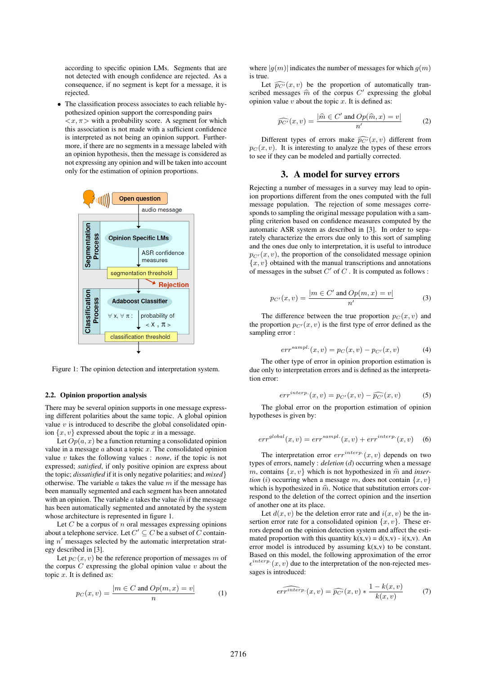according to specific opinion LMs. Segments that are not detected with enough confidence are rejected. As a consequence, if no segment is kept for a message, it is rejected.

• The classification process associates to each reliable hypothesized opinion support the corresponding pairs  $\langle x, \pi \rangle$  with a probability score. A segment for which this association is not made with a sufficient confidence is interpreted as not being an opinion support. Furthermore, if there are no segments in a message labeled with an opinion hypothesis, then the message is considered as not expressing any opinion and will be taken into account only for the estimation of opinion proportions.



Figure 1: The opinion detection and interpretation system.

#### 2.2. Opinion proportion analysis

There may be several opinion supports in one message expressing different polarities about the same topic. A global opinion value  $v$  is introduced to describe the global consolidated opinion  $\{x, v\}$  expressed about the topic x in a message.

Let  $Op(a, x)$  be a function returning a consolidated opinion value in a message  $a$  about a topic  $x$ . The consolidated opinion value v takes the following values : *none*, if the topic is not expressed; *satisfied*, if only positive opinion are express about the topic; *dissatisfied* if it is only negative polarities; and *mixed*} otherwise. The variable  $a$  takes the value  $m$  if the message has been manually segmented and each segment has been annotated with an opinion. The variable  $a$  takes the value  $\hat{m}$  if the message has been automatically segmented and annotated by the system whose architecture is represented in figure 1.

Let  $C$  be a corpus of  $n$  oral messages expressing opinions about a telephone service. Let  $C' \subseteq C$  be a subset of  $C$  containing  $n'$  messages selected by the automatic interpretation strategy described in [3].

Let  $p_C(x, v)$  be the reference proportion of messages m of the corpus  $C$  expressing the global opinion value  $v$  about the topic  $x$ . It is defined as:

$$
p_C(x,v) = \frac{|m \in C \text{ and } Op(m,x) = v|}{n}
$$
 (1)

where  $|q(m)|$  indicates the number of messages for which  $q(m)$ is true.

Let  $\widehat{p_{C'}}(x, v)$  be the proportion of automatically transcribed messages  $\hat{m}$  of the corpus C' expressing the global<br>original value u short the toric  $\alpha$ . It is defined as opinion value  $v$  about the topic  $x$ . It is defined as:

$$
\widehat{p_{C'}}(x,v) = \frac{|\widehat{m} \in C' \text{ and } Op(\widehat{m},x) = v|}{n'} \tag{2}
$$

Different types of errors make  $\widehat{p_{C'}}(x, v)$  different from  $p_C(x, v)$ . It is interesting to analyze the types of these errors to see if they can be modeled and partially corrected.

#### 3. A model for survey errors

Rejecting a number of messages in a survey may lead to opinion proportions different from the ones computed with the full message population. The rejection of some messages corresponds to sampling the original message population with a sampling criterion based on confidence measures computed by the automatic ASR system as described in [3]. In order to separately characterize the errors due only to this sort of sampling and the ones due only to interpretation, it is useful to introduce  $p_{C'}(x, v)$ , the proportion of the consolidated message opinion  ${x, v}$  obtained with the manual transcriptions and annotations of messages in the subset  $C'$  of  $C$ . It is computed as follows :

$$
p_{C'}(x,v) = \frac{|m \in C' \text{ and } Op(m,x) = v|}{n'} \tag{3}
$$

The difference between the true proportion  $p_C(x, v)$  and the proportion  $p_{C'}(x, v)$  is the first type of error defined as the sampling error :

$$
err^{sample.}(x, v) = p_C(x, v) - p_{C'}(x, v)
$$
 (4)

The other type of error in opinion proportion estimation is due only to interpretation errors and is defined as the interpretation error:

$$
err^{interp.}(x,v) = p_{C'}(x,v) - \widehat{p_{C'}}(x,v)
$$
 (5)

The global error on the proportion estimation of opinion hypotheses is given by:

$$
err^{global}(x, v) = err^{sample}(x, v) + err^{interp.}(x, v)
$$
 (6)

The interpretation error  $err^{interp}(x, v)$  depends on two types of errors, namely : *deletion* (d) occurring when a message m, contains  $\{x, v\}$  which is not hypothesized in  $\hat{m}$  and *inser-*<br>tion (i) acquiring when a message we does not contain  $\{m, v\}$ *tion* (*i*) occurring when a message m, does not contain  $\{x, v\}$ which is hypothesized in  $\hat{m}$ . Notice that substitution errors cor-<br>general to the deletion of the correct origins and the insertion respond to the deletion of the correct opinion and the insertion of another one at its place.

Let  $d(x, v)$  be the deletion error rate and  $i(x, v)$  be the insertion error rate for a consolidated opinion  $\{x, v\}$ . These errors depend on the opinion detection system and affect the estimated proportion with this quantity  $k(x,y) = d(x,y) - i(x,y)$ . An error model is introduced by assuming  $k(x,y)$  to be constant. Based on this model, the following approximation of the error  $\epsilon^{interp.}(x, v)$  due to the interpretation of the non-rejected messages is introduced:

$$
\widehat{err^{interp.}(x,v)} = \widehat{p_{C'}}(x,v) * \frac{1 - k(x,v)}{k(x,v)}
$$
(7)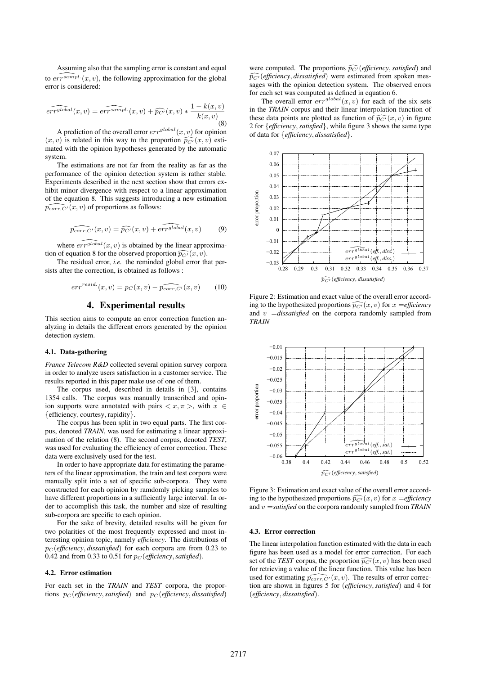Assuming also that the sampling error is constant and equal to  $\widehat{err^{sample}}(x, v)$ , the following approximation for the global error is considered:

$$
\widehat{err^{global}}(x, v) = \widehat{err^{sample}}(x, v) + \widehat{p_{C'}}(x, v) * \frac{1 - k(x, v)}{k(x, v)}
$$
\n(8)

A prediction of the overall error  $err^{global}(x, v)$  for opinion  $(x, v)$  is related in this way to the proportion  $\widehat{p_{C'}}(x, v)$  esti-<br>mated with the opinion hypotheses generated by the systematic mated with the opinion hypotheses generated by the automatic system.

The estimations are not far from the reality as far as the performance of the opinion detection system is rather stable. Experiments described in the next section show that errors exhibit minor divergence with respect to a linear approximation of the equation 8. This suggests introducing a new estimation  $\widehat{p_{corr,C'}}(x,v)$  of proportions as follows:

$$
\widehat{p_{corr,C'}}(x,v) = \widehat{p_{C'}}(x,v) + \widehat{errglobal}(x,v) \qquad (9)
$$

where  $\widehat{err^{global}(x, v)}$  is obtained by the linear approximation of equation 8 for the observed proportion  $\widehat{p_{C'}}(x, v)$ .<br>The residual error is a the reminded algebra error the

The residual error, *i.e.* the reminded global error that persists after the correction, is obtained as follows :

$$
err^{resid.}(x,v) = p_C(x,v) - \widehat{p_{corr,C'}}(x,v) \qquad (10)
$$

## 4. Experimental results

This section aims to compute an error correction function analyzing in details the different errors generated by the opinion detection system.

#### 4.1. Data-gathering

*France Telecom R&D* collected several opinion survey corpora in order to analyze users satisfaction in a customer service. The results reported in this paper make use of one of them.

The corpus used, described in details in [3], contains 1354 calls. The corpus was manually transcribed and opinion supports were annotated with pairs  $\langle x, \pi \rangle$ , with  $x \in$ {efficiency, courtesy, rapidity}.

The corpus has been split in two equal parts. The first corpus, denoted *TRAIN*, was used for estimating a linear approximation of the relation (8). The second corpus, denoted *TEST*, was used for evaluating the efficiency of error correction. These data were exclusively used for the test.

In order to have appropriate data for estimating the parameters of the linear approximation, the train and test corpora were manually split into a set of specific sub-corpora. They were constructed for each opinion by ramdomly picking samples to have different proportions in a sufficiently large interval. In order to accomplish this task, the number and size of resulting sub-corpora are specific to each opinion.

For the sake of brevity, detailed results will be given for two polarities of the most frequently expressed and most interesting opinion topic, namely *efficiency*. The distributions of  $p_C$  (*efficiency*, *dissatisfied*) for each corpora are from 0.23 to 0.42 and from 0.33 to 0.51 for  $p_C$  (*efficiency*, *satisfied*).

#### 4.2. Error estimation

For each set in the *TRAIN* and *TEST* corpora, the proportions  $p_C$  (*efficiency*, *satisfied*) and  $p_C$  (*efficiency*, *dissatisfied*)

were computed. The proportions  $\widehat{p_{C'}}$  (*efficiency*, *satisfied*) and  $\widehat{p_{C'}}$  (*efficiency*, *satisfied*)  $\widehat{p_{C'}}$  (*efficiency*, *dissatisfied*) were estimated from spoken messages with the opinion detection system. The observed errors for each set was computed as defined in equation 6.

The overall error  $err^{global}(x, v)$  for each of the six sets in the *TRAIN* corpus and their linear interpolation function of these data points are plotted as function of  $\widehat{pC'}(x, v)$  in figure 2 for {*efficiency*,*satisfied*}, while figure 3 shows the same type of data for {*efficiency*, *dissatisfied*}.



Figure 2: Estimation and exact value of the overall error according to the hypothesized proportions  $\widehat{p_{C'}}(x, v)$  for  $x =$ *efficiency* and  $v =$ *dissatisfied* on the corpora randomly sampled from *TRAIN*



Figure 3: Estimation and exact value of the overall error according to the hypothesized proportions  $\widehat{pC'}(x, v)$  for  $x =$ *efficiency*<br>and  $v =$  *satisfied* on the company parlamentary semiled from TPAIN. and v =*satisfied* on the corpora randomly sampled from *TRAIN*

#### 4.3. Error correction

The linear interpolation function estimated with the data in each figure has been used as a model for error correction. For each set of the *TEST* corpus, the proportion  $\widehat{p_{C'}}(x, v)$  has been used<br>for patriculus a value of the linear function. This value has been for retrieving a value of the linear function. This value has been used for estimating  $\widehat{p_{corr,C'}}(x, v)$ . The results of error correction are shown in figures 5 for (*efficiency*,*satisfied*) and 4 for (*efficiency*, *dissatisfied*).